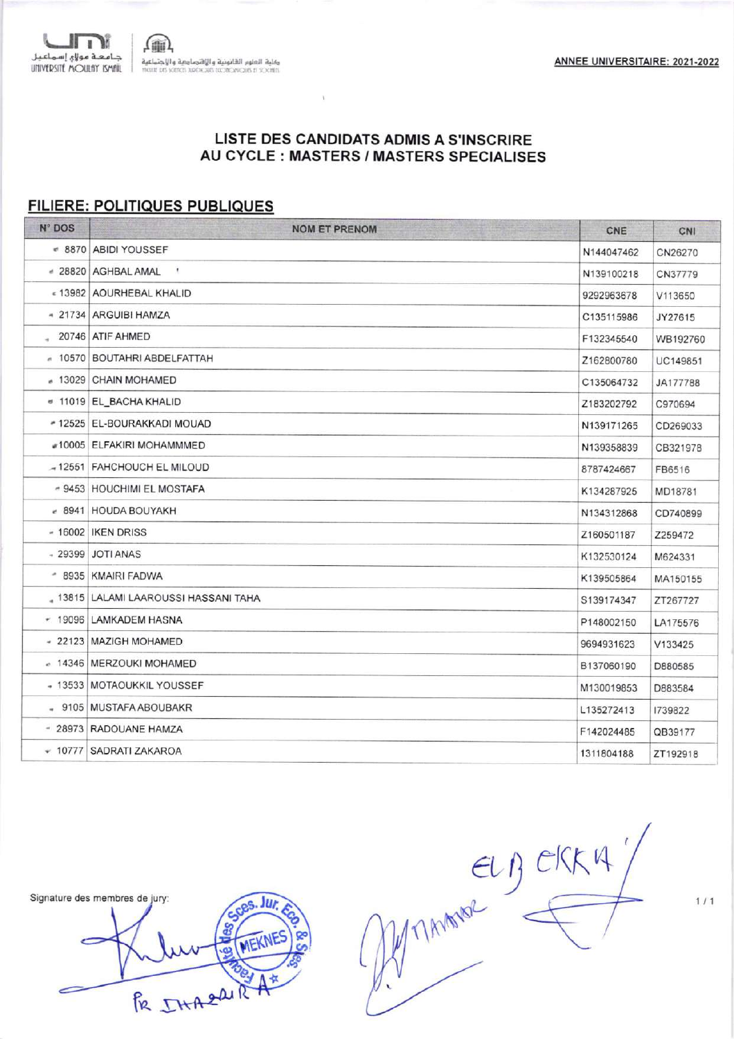$\mathfrak{m}\$ .<br>وقلية العلوم القانونية والإقتصاءبية والإجتماعية<br>mont in Some home discuss in Some

# LISTE DES CANDIDATS ADMIS A S'INSCRIRE AU CYCLE : MASTERS / MASTERS SPECIALISES

 $\bar{V}$ 

#### **FILIERE: POLITIQUES PUBLIQUES**

 $\blacksquare$ ے۔<br>| جامعہ مولاہ !سماعیل<br>|UNIVERSITE MOULAY ISMIL

| N° DOS | <b>NOM ET PRENOM</b>                    | CNE        | CNI      |
|--------|-----------------------------------------|------------|----------|
|        | ● 8870 ABIDI YOUSSEF                    | N144047462 | CN26270  |
|        | # 28820 AGHBAL AMAL<br>$\mathcal{L}$    | N139100218 | CN37779  |
|        | «13982 AOURHEBAL KHALID                 | 9292963678 | V113650  |
|        | - 21734 ARGUIBI HAMZA                   | C135115986 | JY27615  |
|        | 20746 ATIF AHMED                        | F132345540 | WB192760 |
|        | - 10570 BOUTAHRI ABDELFATTAH            | Z162800780 | UC149851 |
|        | # 13029 CHAIN MOHAMED                   | C135064732 | JA177788 |
|        | ● 11019 EL_BACHA KHALID                 | Z183202792 | C970694  |
|        | * 12525 EL-BOURAKKADI MOUAD             | N139171265 | CD269033 |
|        | #10005 ELFAKIRI MOHAMMMED               | N139358839 | CB321978 |
|        | - 12551 FAHCHOUCH EL MILOUD             | 8787424667 | FB6516   |
|        | - 9453 HOUCHIMI EL MOSTAFA              | K134287925 | MD18781  |
|        | $-8941$ HOUDA BOUYAKH                   | N134312868 | CD740899 |
|        | - 16002 IKEN DRISS                      | Z160501187 | Z259472  |
|        | - 29399 JOTI ANAS                       | K132530124 | M624331  |
|        | - 8935 KMAIRI FADWA                     | K139505864 | MA150155 |
|        | 4 13815   LALAMI LAAROUSSI HASSANI TAHA | S139174347 | ZT267727 |
|        | * 19096 LAMKADEM HASNA                  | P148002150 | LA175576 |
|        | - 22123   MAZIGH MOHAMED                | 9694931623 | V133425  |
|        | e 14346   MERZOUKI MOHAMED              | B137060190 | D880585  |
|        | - 13533 MOTAOUKKIL YOUSSEF              | M130019853 | D883584  |
|        | - 9105 MUSTAFA ABOUBAKR                 | L135272413 | 1739822  |
|        | - 28973 RADOUANE HAMZA                  | F142024485 | QB39177  |
|        | ▼ 10777 SADRATI ZAKAROA                 | 1311804188 | ZT192918 |
|        |                                         |            |          |

Signature des membres de jury:

Jur, FR IHARAIR A\*

ELB CKK4"

 $1/1$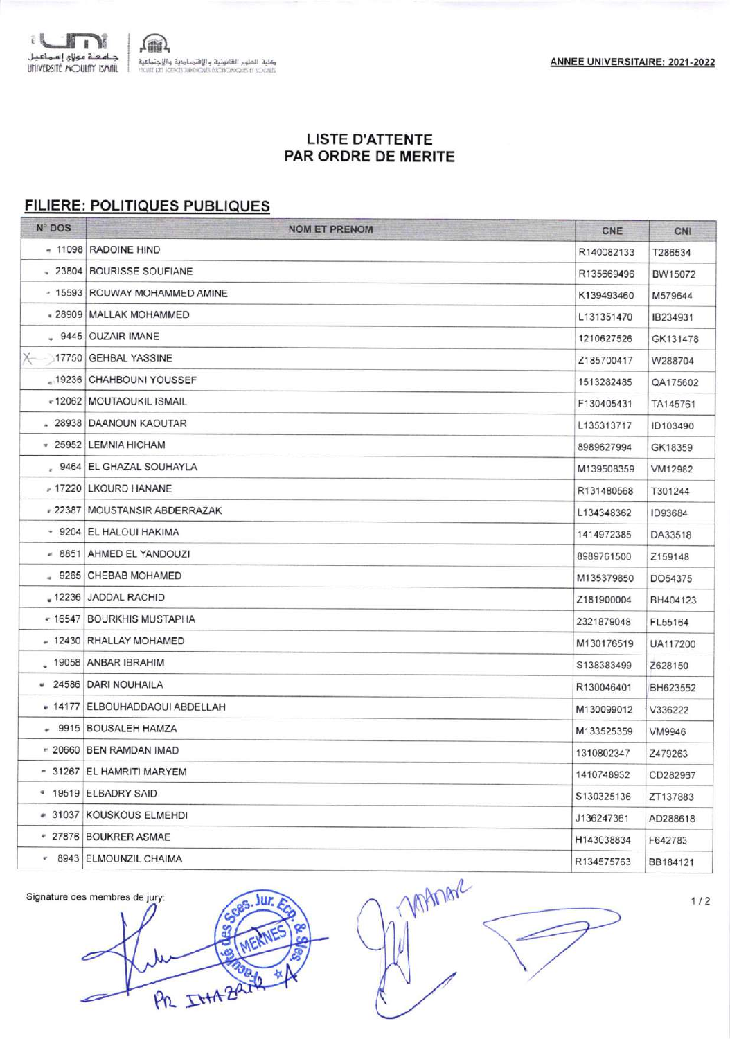

# **LISTE D'ATTENTE** PAR ORDRE DE MERITE

# FILIERE: POLITIQUES PUBLIQUES

| N° DOS    | <b>NOM ET PRENOM</b>           | CNE        | CNI      |
|-----------|--------------------------------|------------|----------|
|           | - 11098 RADOINE HIND           | R140082133 | T286534  |
|           | 23804 BOURISSE SOUFIANE        | R135669496 | BW15072  |
|           | - 15593 ROUWAY MOHAMMED AMINE  | K139493460 | M579644  |
|           | - 28909   MALLAK MOHAMMED      | L131351470 | IB234931 |
|           | $-9445$ OUZAIR IMANE           | 1210627526 | GK131478 |
| $\times$  | 17750 GEHBAL YASSINE           | Z185700417 | W288704  |
| $-19236$  | <b>CHAHBOUNI YOUSSEF</b>       | 1513282485 | QA175602 |
|           | -12062 MOUTAOUKIL ISMAIL       | F130405431 | TA145761 |
|           | . 28938 DAANOUN KAOUTAR        | L135313717 | ID103490 |
|           | * 25952 LEMNIA HICHAM          | 8989627994 | GK18359  |
|           | , 9464 EL GHAZAL SOUHAYLA      | M139508359 | VM12982  |
|           | - 17220 LKOURD HANANE          | R131480568 | T301244  |
| .22387    | MOUSTANSIR ABDERRAZAK          | L134348362 | ID93684  |
|           | * 9204 EL HALOUI HAKIMA        | 1414972385 | DA33518  |
|           | - 8851 AHMED EL YANDOUZI       | 8989761500 | Z159148  |
|           | - 9265 CHEBAB MOHAMED          | M135379850 | DO54375  |
| 12236     | <b>JADDAL RACHID</b>           | Z181900004 | BH404123 |
| $* 16547$ | <b>BOURKHIS MUSTAPHA</b>       | 2321879048 | FL55164  |
|           | - 12430 RHALLAY MOHAMED        | M130176519 | UA117200 |
|           | 39058 ANBAR IBRAHIM            | S138383499 | Z628150  |
|           | * 24586 DARI NOUHAILA          | R130046401 | BH623552 |
|           | - 14177 ELBOUHADDAOUI ABDELLAH | M130099012 | V336222  |
|           | * 9915 BOUSALEH HAMZA          | M133525359 | VM9946   |
|           | - 20660 BEN RAMDAN IMAD        | 1310802347 | Z479263  |
|           | - 31267 EL HAMRITI MARYEM      | 1410748932 | CD282967 |
|           | * 19519 ELBADRY SAID           | S130325136 | ZT137883 |
|           | - 31037 KOUSKOUS ELMEHDI       | J136247361 | AD288618 |
|           | * 27876 BOUKRER ASMAE          | H143038834 | F642783  |
|           | * 8943 ELMOUNZIL CHAIMA        | R134575763 | BB184121 |
|           |                                |            |          |

Signature des membres de jury: **M** ME PR INTAZAIL

**MAMAR** 

 $1/2$